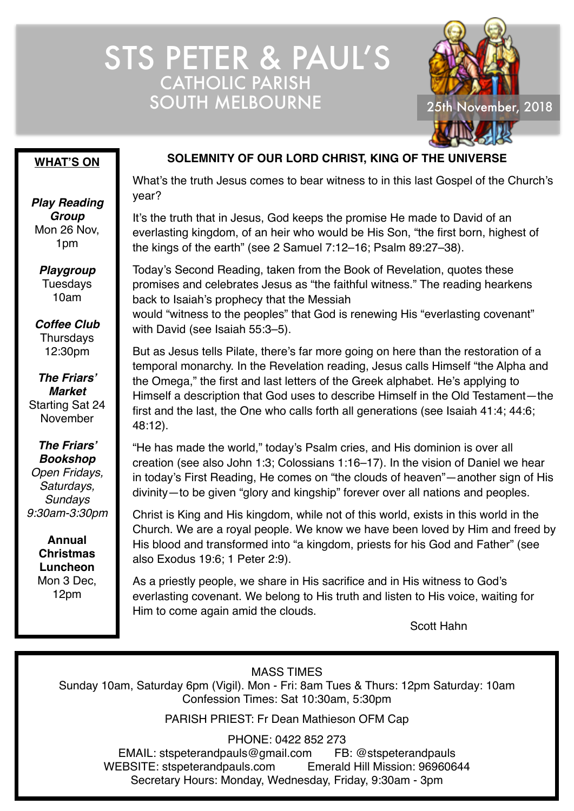## STS PETER & PAUL'S CATHOLIC PARISH SOUTH MELBOURNE 25th November, 2018



#### **WHAT'S ON**

*Play Reading Group* Mon 26 Nov, 1pm

*Playgroup* Tuesdays 10am

*Coffee Club* **Thursdavs** 12:30pm

*The Friars' Market* Starting Sat 24 November

*The Friars' Bookshop Open Fridays, Saturdays, Sundays 9:30am-3:30pm*

> **Annual Christmas Luncheon** Mon 3 Dec, 12pm

#### **SOLEMNITY OF OUR LORD CHRIST, KING OF THE UNIVERSE**

What's the truth Jesus comes to bear witness to in this last Gospel of the Church's year?

It's the truth that in Jesus, God keeps the promise He made to David of an everlasting kingdom, of an heir who would be His Son, "the first born, highest of the kings of the earth" (see 2 Samuel 7:12–16; Psalm 89:27–38).

Today's Second Reading, taken from the Book of Revelation, quotes these promises and celebrates Jesus as "the faithful witness." The reading hearkens back to Isaiah's prophecy that the Messiah

would "witness to the peoples" that God is renewing His "everlasting covenant" with David (see Isaiah 55:3–5).

But as Jesus tells Pilate, there's far more going on here than the restoration of a temporal monarchy. In the Revelation reading, Jesus calls Himself "the Alpha and the Omega," the first and last letters of the Greek alphabet. He's applying to Himself a description that God uses to describe Himself in the Old Testament—the first and the last, the One who calls forth all generations (see Isaiah 41:4; 44:6; 48:12).

"He has made the world," today's Psalm cries, and His dominion is over all creation (see also John 1:3; Colossians 1:16–17). In the vision of Daniel we hear in today's First Reading, He comes on "the clouds of heaven"—another sign of His divinity—to be given "glory and kingship" forever over all nations and peoples.

Christ is King and His kingdom, while not of this world, exists in this world in the Church. We are a royal people. We know we have been loved by Him and freed by His blood and transformed into "a kingdom, priests for his God and Father" (see also Exodus 19:6; 1 Peter 2:9).

As a priestly people, we share in His sacrifice and in His witness to God's everlasting covenant. We belong to His truth and listen to His voice, waiting for Him to come again amid the clouds.

Scott Hahn

MASS TIMES

Sunday 10am, Saturday 6pm (Vigil). Mon - Fri: 8am Tues & Thurs: 12pm Saturday: 10am Confession Times: Sat 10:30am, 5:30pm

PARISH PRIEST: Fr Dean Mathieson OFM Cap

PHONE: 0422 852 273

EMAIL: stspeterandpauls@gmail.com FB: @stspeterandpauls WEBSITE: stspeterandpauls.com Emerald Hill Mission: 96960644 Secretary Hours: Monday, Wednesday, Friday, 9:30am - 3pm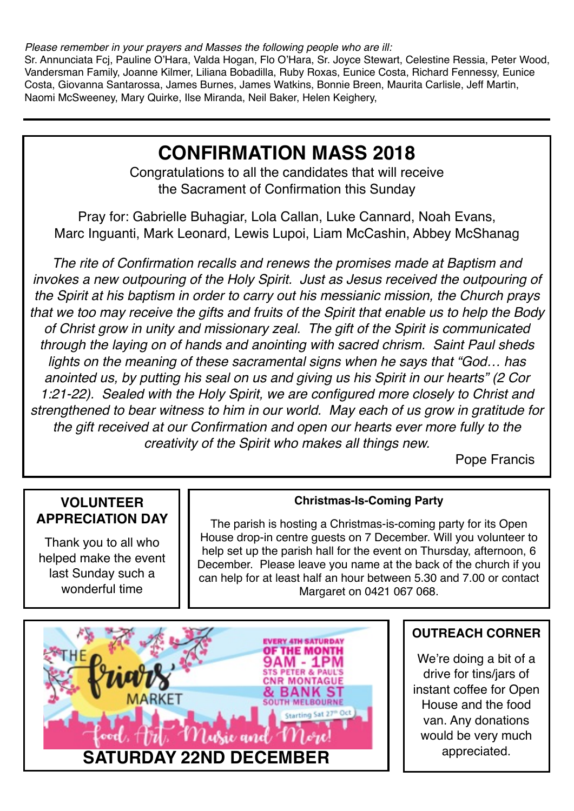*Please remember in your prayers and Masses the following people who are ill:*

Sr. Annunciata Fcj, Pauline O'Hara, Valda Hogan, Flo O'Hara, Sr. Joyce Stewart, Celestine Ressia, Peter Wood, Vandersman Family, Joanne Kilmer, Liliana Bobadilla, Ruby Roxas, Eunice Costa, Richard Fennessy, Eunice Costa, Giovanna Santarossa, James Burnes, James Watkins, Bonnie Breen, Maurita Carlisle, Jeff Martin, Naomi McSweeney, Mary Quirke, Ilse Miranda, Neil Baker, Helen Keighery,

### **CONFIRMATION MASS 2018**

Congratulations to all the candidates that will receive the Sacrament of Confirmation this Sunday

Pray for: Gabrielle Buhagiar, Lola Callan, Luke Cannard, Noah Evans, Marc Inguanti, Mark Leonard, Lewis Lupoi, Liam McCashin, Abbey McShanag

*The rite of Confirmation recalls and renews the promises made at Baptism and invokes a new outpouring of the Holy Spirit. Just as Jesus received the outpouring of the Spirit at his baptism in order to carry out his messianic mission, the Church prays that we too may receive the gifts and fruits of the Spirit that enable us to help the Body of Christ grow in unity and missionary zeal. The gift of the Spirit is communicated through the laying on of hands and anointing with sacred chrism. Saint Paul sheds lights on the meaning of these sacramental signs when he says that "God… has anointed us, by putting his seal on us and giving us his Spirit in our hearts" (2 Cor 1:21-22). Sealed with the Holy Spirit, we are configured more closely to Christ and strengthened to bear witness to him in our world. May each of us grow in gratitude for the gift received at our Confirmation and open our hearts ever more fully to the creativity of the Spirit who makes all things new.*

Pope Francis

#### **VOLUNTEER APPRECIATION DAY**

Thank you to all who helped make the event last Sunday such a wonderful time

#### **Christmas-Is-Coming Party**

The parish is hosting a Christmas-is-coming party for its Open House drop-in centre guests on 7 December. Will you volunteer to help set up the parish hall for the event on Thursday, afternoon, 6 December. Please leave you name at the back of the church if you can help for at least half an hour between 5.30 and 7.00 or contact Margaret on 0421 067 068.



#### **OUTREACH CORNER**

We're doing a bit of a drive for tins/jars of instant coffee for Open House and the food van. Any donations would be very much appreciated.